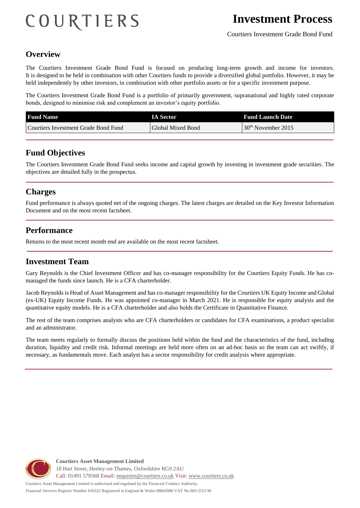# COURTIERS

## **Overview**

The Courtiers Investment Grade Bond Fund is focused on producing long-term growth and income for investors. It is designed to be held in combination with other Courtiers funds to provide a diversified global portfolio. However, it may be held independently by other investors, in combination with other portfolio assets or for a specific investment purpose.

The Courtiers Investment Grade Bond Fund is a portfolio of primarily government, supranational and highly rated corporate bonds, designed to minimise risk and complement an investor's equity portfolio.

| <b>Fund Name</b>                     | <b>IA Sector</b>  | <b>Fund Launch Date</b>        |
|--------------------------------------|-------------------|--------------------------------|
| Courtiers Investment Grade Bond Fund | Global Mixed Bond | 30 <sup>th</sup> November 2015 |

### **Fund Objectives**

The Courtiers Investment Grade Bond Fund seeks income and capital growth by investing in investment grade securities. The objectives are detailed fully in the prospectus.

#### **Charges**

Fund performance is always quoted net of the ongoing charges. The latest charges are detailed on the Key Investor Information Document and on the most recent factsheet.

#### **Performance**

Returns to the most recent month end are available on the most recent factsheet.

### **Investment Team**

Gary Reynolds is the Chief Investment Officer and has co-manager responsibility for the Courtiers Equity Funds. He has comanaged the funds since launch. He is a CFA charterholder.

Jacob Reynolds is Head of Asset Management and has co-manager responsibility for the Courtiers UK Equity Income and Global (ex-UK) Equity Income Funds. He was appointed co-manager in March 2021. He is responsible for equity analysis and the quantitative equity models. He is a CFA charterholder and also holds the Certificate in Quantitative Finance.

The rest of the team comprises analysts who are CFA charterholders or candidates for CFA examinations, a product specialist and an administrator.

The team meets regularly to formally discuss the positions held within the fund and the characteristics of the fund, including duration, liquidity and credit risk. Informal meetings are held more often on an ad-hoc basis so the team can act swiftly, if necessary, as fundamentals move. Each analyst has a sector responsibility for credit analysis where appropriate.



**Courtiers Asset Management Limited** 18 Hart Street, Henley-on-Thames, Oxfordshire RG9 2AU Call: 01491 578368 Email: [enquiries@courtiers.co.uk](mailto:enquiries@courtiers.co.uk) Visit: [www.courtiers.co.uk](http://www.courtiers.co.uk/)

Courtiers Asset Management Limited is authorised and regulated by the Financial Conduct Authority. Financial Services Register Number 616322 Registered in England & Wales 08843086 VAT No 669 2553 96